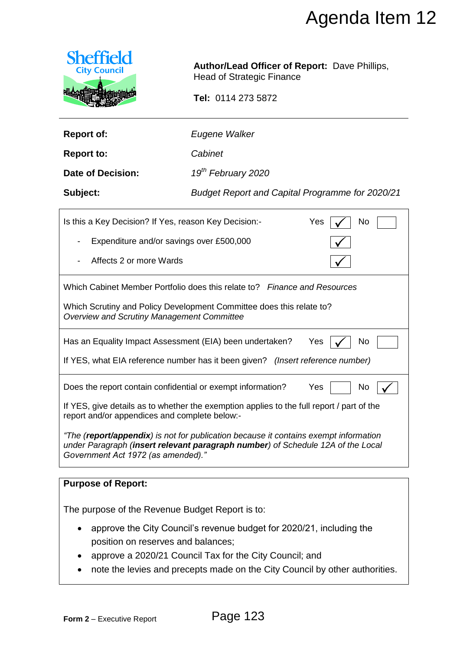

| <b>Report of:</b> | Eugene Walker |
|-------------------|---------------|
|                   |               |

|                                                                                                                                                                                                               | Agenda Item 12                                                                                                                  |  |  |
|---------------------------------------------------------------------------------------------------------------------------------------------------------------------------------------------------------------|---------------------------------------------------------------------------------------------------------------------------------|--|--|
| <b>Sheffield</b><br><b>City Council</b>                                                                                                                                                                       | <b>Author/Lead Officer of Report: Dave Phillips,</b><br><b>Head of Strategic Finance</b><br>Tel: 0114 273 5872                  |  |  |
|                                                                                                                                                                                                               |                                                                                                                                 |  |  |
| <b>Report of:</b>                                                                                                                                                                                             | Eugene Walker                                                                                                                   |  |  |
| <b>Report to:</b>                                                                                                                                                                                             | Cabinet                                                                                                                         |  |  |
| <b>Date of Decision:</b>                                                                                                                                                                                      | 19 <sup>th</sup> February 2020                                                                                                  |  |  |
| Subject:                                                                                                                                                                                                      | <b>Budget Report and Capital Programme for 2020/21</b>                                                                          |  |  |
| Is this a Key Decision? If Yes, reason Key Decision:-<br>No<br>Yes                                                                                                                                            |                                                                                                                                 |  |  |
| Expenditure and/or savings over £500,000                                                                                                                                                                      |                                                                                                                                 |  |  |
| Affects 2 or more Wards                                                                                                                                                                                       |                                                                                                                                 |  |  |
|                                                                                                                                                                                                               | Which Cabinet Member Portfolio does this relate to? Finance and Resources                                                       |  |  |
| <b>Overview and Scrutiny Management Committee</b>                                                                                                                                                             | Which Scrutiny and Policy Development Committee does this relate to?                                                            |  |  |
|                                                                                                                                                                                                               | Has an Equality Impact Assessment (EIA) been undertaken?<br>No<br>Yes                                                           |  |  |
|                                                                                                                                                                                                               | If YES, what EIA reference number has it been given? (Insert reference number)                                                  |  |  |
|                                                                                                                                                                                                               | Does the report contain confidential or exempt information?<br>Yes<br>No                                                        |  |  |
| If YES, give details as to whether the exemption applies to the full report / part of the<br>report and/or appendices and complete below:-                                                                    |                                                                                                                                 |  |  |
| "The (report/appendix) is not for publication because it contains exempt information<br>under Paragraph (insert relevant paragraph number) of Schedule 12A of the Local<br>Government Act 1972 (as amended)." |                                                                                                                                 |  |  |
| <b>Purpose of Report:</b>                                                                                                                                                                                     |                                                                                                                                 |  |  |
| The purpose of the Revenue Budget Report is to:                                                                                                                                                               |                                                                                                                                 |  |  |
| position on reserves and balances;<br>$\bullet$                                                                                                                                                               | approve the City Council's revenue budget for 2020/21, including the<br>approve a 2020/21 Council Tax for the City Council; and |  |  |
|                                                                                                                                                                                                               | note the levies and precepts made on the City Council by other authorities.                                                     |  |  |
|                                                                                                                                                                                                               |                                                                                                                                 |  |  |
| Form 2 - Executive Report                                                                                                                                                                                     | Page 123                                                                                                                        |  |  |

# **Purpose of Report:**

- approve the City Council's revenue budget for 2020/21, including the position on reserves and balances;
- approve a 2020/21 Council Tax for the City Council; and
- note the levies and precepts made on the City Council by other authorities.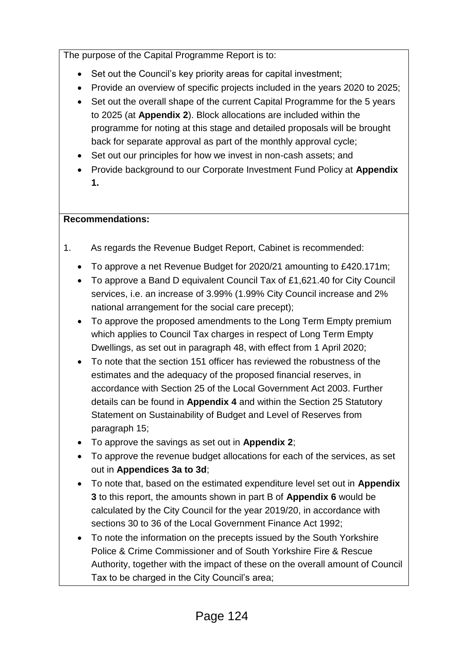The purpose of the Capital Programme Report is to:

- Set out the Council's key priority areas for capital investment;
- Provide an overview of specific projects included in the years 2020 to 2025;
- Set out the overall shape of the current Capital Programme for the 5 years to 2025 (at **Appendix 2**). Block allocations are included within the programme for noting at this stage and detailed proposals will be brought back for separate approval as part of the monthly approval cycle;
- Set out our principles for how we invest in non-cash assets; and
- Provide background to our Corporate Investment Fund Policy at **Appendix 1.**

# **Recommendations:**

- 1. As regards the Revenue Budget Report, Cabinet is recommended:
	- To approve a net Revenue Budget for 2020/21 amounting to £420.171m;
	- To approve a Band D equivalent Council Tax of £1,621.40 for City Council services, i.e. an increase of 3.99% (1.99% City Council increase and 2% national arrangement for the social care precept);
	- To approve the proposed amendments to the Long Term Empty premium which applies to Council Tax charges in respect of Long Term Empty Dwellings, as set out in paragraph 48, with effect from 1 April 2020;
	- To note that the section 151 officer has reviewed the robustness of the estimates and the adequacy of the proposed financial reserves, in accordance with Section 25 of the Local Government Act 2003. Further details can be found in **Appendix 4** and within the Section 25 Statutory Statement on Sustainability of Budget and Level of Reserves from paragraph 15;
	- To approve the savings as set out in **Appendix 2**;
	- To approve the revenue budget allocations for each of the services, as set out in **Appendices 3a to 3d**;
	- To note that, based on the estimated expenditure level set out in **Appendix 3** to this report, the amounts shown in part B of **Appendix 6** would be calculated by the City Council for the year 2019/20, in accordance with sections 30 to 36 of the Local Government Finance Act 1992;
	- To note the information on the precepts issued by the South Yorkshire Police & Crime Commissioner and of South Yorkshire Fire & Rescue Authority, together with the impact of these on the overall amount of Council Tax to be charged in the City Council's area;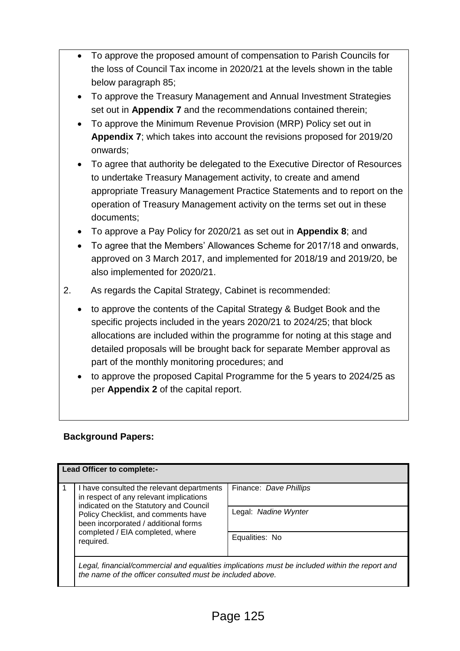- To approve the proposed amount of compensation to Parish Councils for the loss of Council Tax income in 2020/21 at the levels shown in the table below paragraph 85;
- To approve the Treasury Management and Annual Investment Strategies set out in **Appendix 7** and the recommendations contained therein;
- To approve the Minimum Revenue Provision (MRP) Policy set out in **Appendix 7**; which takes into account the revisions proposed for 2019/20 onwards;
- To agree that authority be delegated to the Executive Director of Resources to undertake Treasury Management activity, to create and amend appropriate Treasury Management Practice Statements and to report on the operation of Treasury Management activity on the terms set out in these documents;
- To approve a Pay Policy for 2020/21 as set out in **Appendix 8**; and
- To agree that the Members' Allowances Scheme for 2017/18 and onwards, approved on 3 March 2017, and implemented for 2018/19 and 2019/20, be also implemented for 2020/21.
- 2. As regards the Capital Strategy, Cabinet is recommended:
	- to approve the contents of the Capital Strategy & Budget Book and the specific projects included in the years 2020/21 to 2024/25; that block allocations are included within the programme for noting at this stage and detailed proposals will be brought back for separate Member approval as part of the monthly monitoring procedures; and
	- to approve the proposed Capital Programme for the 5 years to 2024/25 as per **Appendix 2** of the capital report.

## **Background Papers:**

| Lead Officer to complete:- |                                                                                                                                                             |                        |  |
|----------------------------|-------------------------------------------------------------------------------------------------------------------------------------------------------------|------------------------|--|
|                            | I have consulted the relevant departments<br>in respect of any relevant implications<br>indicated on the Statutory and Council                              | Finance: Dave Phillips |  |
|                            | Policy Checklist, and comments have<br>been incorporated / additional forms<br>completed / EIA completed, where<br>required.                                | Legal: Nadine Wynter   |  |
|                            |                                                                                                                                                             | Equalities: No         |  |
|                            | Legal, financial/commercial and equalities implications must be included within the report and<br>the name of the officer consulted must be included above. |                        |  |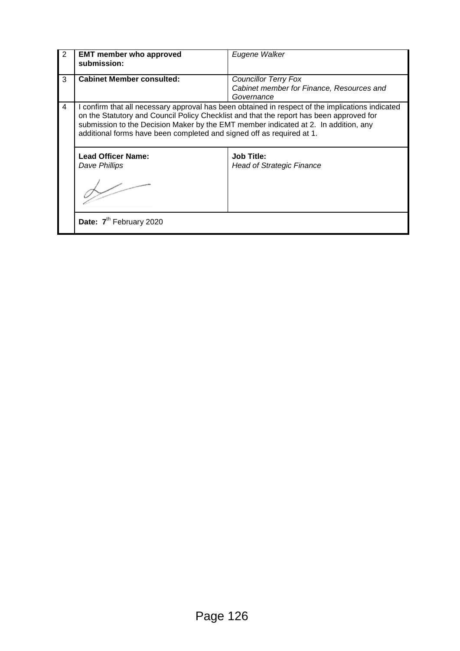| 2 | <b>EMT member who approved</b><br>submission:                                                                                                                                                                                                                                                                                                               | Eugene Walker                                           |  |
|---|-------------------------------------------------------------------------------------------------------------------------------------------------------------------------------------------------------------------------------------------------------------------------------------------------------------------------------------------------------------|---------------------------------------------------------|--|
| 3 | <b>Cabinet Member consulted:</b>                                                                                                                                                                                                                                                                                                                            | <b>Councillor Terry Fox</b>                             |  |
|   |                                                                                                                                                                                                                                                                                                                                                             | Cabinet member for Finance, Resources and<br>Governance |  |
| 4 | I confirm that all necessary approval has been obtained in respect of the implications indicated<br>on the Statutory and Council Policy Checklist and that the report has been approved for<br>submission to the Decision Maker by the EMT member indicated at 2. In addition, any<br>additional forms have been completed and signed off as required at 1. |                                                         |  |
|   | <b>Lead Officer Name:</b><br>Dave Phillips                                                                                                                                                                                                                                                                                                                  | <b>Job Title:</b><br><b>Head of Strategic Finance</b>   |  |
|   | Date: 7 <sup>th</sup> February 2020                                                                                                                                                                                                                                                                                                                         |                                                         |  |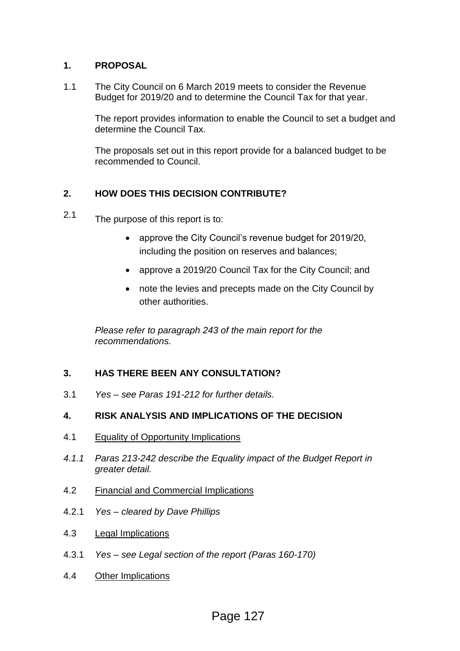#### **1. PROPOSAL**

1.1 The City Council on 6 March 2019 meets to consider the Revenue Budget for 2019/20 and to determine the Council Tax for that year.

> The report provides information to enable the Council to set a budget and determine the Council Tax.

The proposals set out in this report provide for a balanced budget to be recommended to Council.

## **2. HOW DOES THIS DECISION CONTRIBUTE?**

- 2.1 The purpose of this report is to:
	- approve the City Council's revenue budget for 2019/20, including the position on reserves and balances;
	- approve a 2019/20 Council Tax for the City Council; and
	- note the levies and precepts made on the City Council by other authorities.

*Please refer to paragraph 243 of the main report for the recommendations.*

## **3. HAS THERE BEEN ANY CONSULTATION?**

3.1 *Yes – see Paras 191-212 for further details.*

## **4. RISK ANALYSIS AND IMPLICATIONS OF THE DECISION**

- 4.1 Equality of Opportunity Implications
- *4.1.1 Paras 213-242 describe the Equality impact of the Budget Report in greater detail.*
- 4.2 Financial and Commercial Implications
- 4.2.1 *Yes – cleared by Dave Phillips*
- 4.3 Legal Implications
- 4.3.1 *Yes – see Legal section of the report (Paras 160-170)*
- 4.4 Other Implications